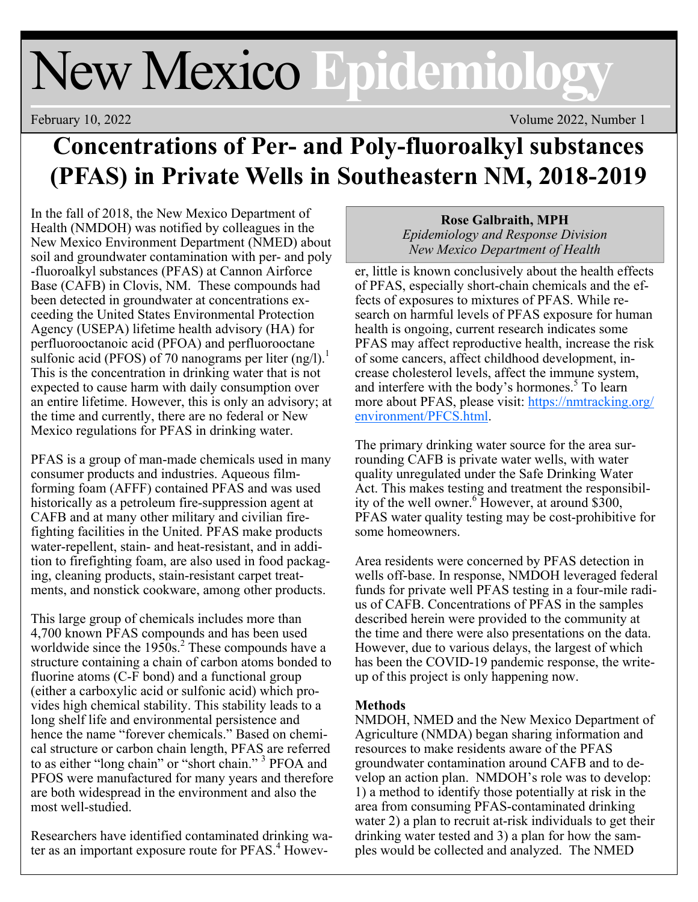# New Mexico **Epidemiology**

February 10, 2022 Volume 2022, Number 1

# **Concentrations of Per- and Poly-fluoroalkyl substances (PFAS) in Private Wells in Southeastern NM, 2018-2019**

In the fall of 2018, the New Mexico Department of Health (NMDOH) was notified by colleagues in the New Mexico Environment Department (NMED) about soil and groundwater contamination with per- and poly -fluoroalkyl substances (PFAS) at Cannon Airforce Base (CAFB) in Clovis, NM. These compounds had been detected in groundwater at concentrations exceeding the United States Environmental Protection Agency (USEPA) lifetime health advisory (HA) for perfluorooctanoic acid (PFOA) and perfluorooctane sulfonic acid (PFOS) of 70 nanograms per liter  $(ng/l)^{1}$ . This is the concentration in drinking water that is not expected to cause harm with daily consumption over an entire lifetime. However, this is only an advisory; at the time and currently, there are no federal or New Mexico regulations for PFAS in drinking water.

PFAS is a group of man-made chemicals used in many consumer products and industries. Aqueous filmforming foam (AFFF) contained PFAS and was used historically as a petroleum fire-suppression agent at CAFB and at many other military and civilian firefighting facilities in the United. PFAS make products water-repellent, stain- and heat-resistant, and in addition to firefighting foam, are also used in food packaging, cleaning products, stain-resistant carpet treatments, and nonstick cookware, among other products.

This large group of chemicals includes more than 4,700 known PFAS compounds and has been used worldwide since the  $1950s$ .<sup>2</sup> These compounds have a structure containing a chain of carbon atoms bonded to fluorine atoms (C-F bond) and a functional group (either a carboxylic acid or sulfonic acid) which provides high chemical stability. This stability leads to a long shelf life and environmental persistence and hence the name "forever chemicals." Based on chemical structure or carbon chain length, PFAS are referred to as either "long chain" or "short chain." <sup>3</sup> PFOA and PFOS were manufactured for many years and therefore are both widespread in the environment and also the most well-studied.

Researchers have identified contaminated drinking water as an important exposure route for PFAS.<sup>4</sup> Howev-

#### **Rose Galbraith, MPH**  *Epidemiology and Response Division New Mexico Department of Health*

er, little is known conclusively about the health effects of PFAS, especially short-chain chemicals and the effects of exposures to mixtures of PFAS. While research on harmful levels of PFAS exposure for human health is ongoing, current research indicates some PFAS may affect reproductive health, increase the risk of some cancers, affect childhood development, increase cholesterol levels, affect the immune system, and interfere with the body's hormones.<sup>5</sup> To learn more about PFAS, please visit: https://nmtracking.org/ environment/PFCS.html.

The primary drinking water source for the area surrounding CAFB is private water wells, with water quality unregulated under the Safe Drinking Water Act. This makes testing and treatment the responsibility of the well owner. <sup>6</sup> However, at around \$300, PFAS water quality testing may be cost-prohibitive for some homeowners.

Area residents were concerned by PFAS detection in wells off-base. In response, NMDOH leveraged federal funds for private well PFAS testing in a four-mile radius of CAFB. Concentrations of PFAS in the samples described herein were provided to the community at the time and there were also presentations on the data. However, due to various delays, the largest of which has been the COVID-19 pandemic response, the writeup of this project is only happening now.

# **Methods**

NMDOH, NMED and the New Mexico Department of Agriculture (NMDA) began sharing information and resources to make residents aware of the PFAS groundwater contamination around CAFB and to develop an action plan. NMDOH's role was to develop: 1) a method to identify those potentially at risk in the area from consuming PFAS-contaminated drinking water 2) a plan to recruit at-risk individuals to get their drinking water tested and 3) a plan for how the samples would be collected and analyzed. The NMED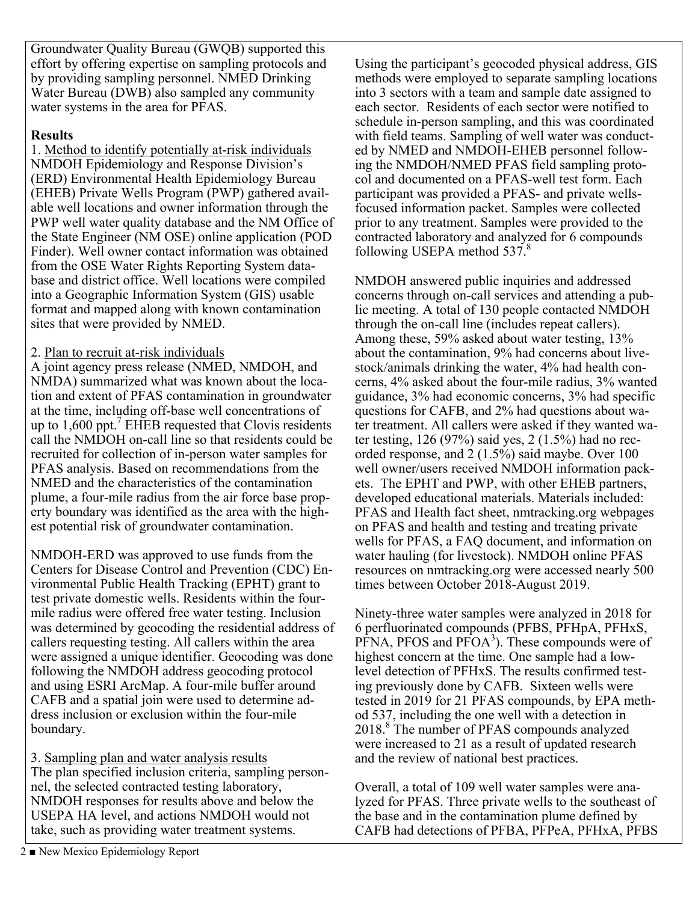Groundwater Quality Bureau (GWQB) supported this effort by offering expertise on sampling protocols and by providing sampling personnel. NMED Drinking Water Bureau (DWB) also sampled any community water systems in the area for PFAS.

#### **Results**

1. Method to identify potentially at-risk individuals NMDOH Epidemiology and Response Division's (ERD) Environmental Health Epidemiology Bureau (EHEB) Private Wells Program (PWP) gathered available well locations and owner information through the PWP well water quality database and the NM Office of the State Engineer (NM OSE) online application (POD Finder). Well owner contact information was obtained from the OSE Water Rights Reporting System database and district office. Well locations were compiled into a Geographic Information System (GIS) usable format and mapped along with known contamination sites that were provided by NMED.

### 2. Plan to recruit at-risk individuals

A joint agency press release (NMED, NMDOH, and NMDA) summarized what was known about the location and extent of PFAS contamination in groundwater at the time, including off-base well concentrations of up to  $1,600$  ppt.<sup>7</sup> EHEB requested that Clovis residents call the NMDOH on-call line so that residents could be recruited for collection of in-person water samples for PFAS analysis. Based on recommendations from the NMED and the characteristics of the contamination plume, a four-mile radius from the air force base property boundary was identified as the area with the highest potential risk of groundwater contamination.

NMDOH-ERD was approved to use funds from the Centers for Disease Control and Prevention (CDC) Environmental Public Health Tracking (EPHT) grant to test private domestic wells. Residents within the fourmile radius were offered free water testing. Inclusion was determined by geocoding the residential address of callers requesting testing. All callers within the area were assigned a unique identifier. Geocoding was done following the NMDOH address geocoding protocol and using ESRI ArcMap. A four-mile buffer around CAFB and a spatial join were used to determine address inclusion or exclusion within the four-mile boundary.

3. Sampling plan and water analysis results The plan specified inclusion criteria, sampling personnel, the selected contracted testing laboratory, NMDOH responses for results above and below the USEPA HA level, and actions NMDOH would not take, such as providing water treatment systems.

Using the participant's geocoded physical address, GIS methods were employed to separate sampling locations into 3 sectors with a team and sample date assigned to each sector. Residents of each sector were notified to schedule in-person sampling, and this was coordinated with field teams. Sampling of well water was conducted by NMED and NMDOH-EHEB personnel following the NMDOH/NMED PFAS field sampling protocol and documented on a PFAS-well test form. Each participant was provided a PFAS- and private wellsfocused information packet. Samples were collected prior to any treatment. Samples were provided to the contracted laboratory and analyzed for 6 compounds following USEPA method 537.<sup>8</sup>

NMDOH answered public inquiries and addressed concerns through on-call services and attending a public meeting. A total of 130 people contacted NMDOH through the on-call line (includes repeat callers). Among these, 59% asked about water testing, 13% about the contamination, 9% had concerns about livestock/animals drinking the water, 4% had health concerns, 4% asked about the four-mile radius, 3% wanted guidance, 3% had economic concerns, 3% had specific questions for CAFB, and 2% had questions about water treatment. All callers were asked if they wanted water testing, 126 (97%) said yes, 2 (1.5%) had no recorded response, and 2 (1.5%) said maybe. Over 100 well owner/users received NMDOH information packets. The EPHT and PWP, with other EHEB partners, developed educational materials. Materials included: PFAS and Health fact sheet, nmtracking.org webpages on PFAS and health and testing and treating private wells for PFAS, a FAQ document, and information on water hauling (for livestock). NMDOH online PFAS resources on nmtracking.org were accessed nearly 500 times between October 2018-August 2019.

Ninety-three water samples were analyzed in 2018 for 6 perfluorinated compounds (PFBS, PFHpA, PFHxS,  $P<sup>F</sup>NA$ , PFOS and  $P<sup>2</sup>OA<sup>3</sup>$ ). These compounds were of highest concern at the time. One sample had a lowlevel detection of PFHxS. The results confirmed testing previously done by CAFB. Sixteen wells were tested in 2019 for 21 PFAS compounds, by EPA method 537, including the one well with a detection in 2018.<sup>8</sup> The number of PFAS compounds analyzed were increased to 21 as a result of updated research and the review of national best practices.

Overall, a total of 109 well water samples were analyzed for PFAS. Three private wells to the southeast of the base and in the contamination plume defined by CAFB had detections of PFBA, PFPeA, PFHxA, PFBS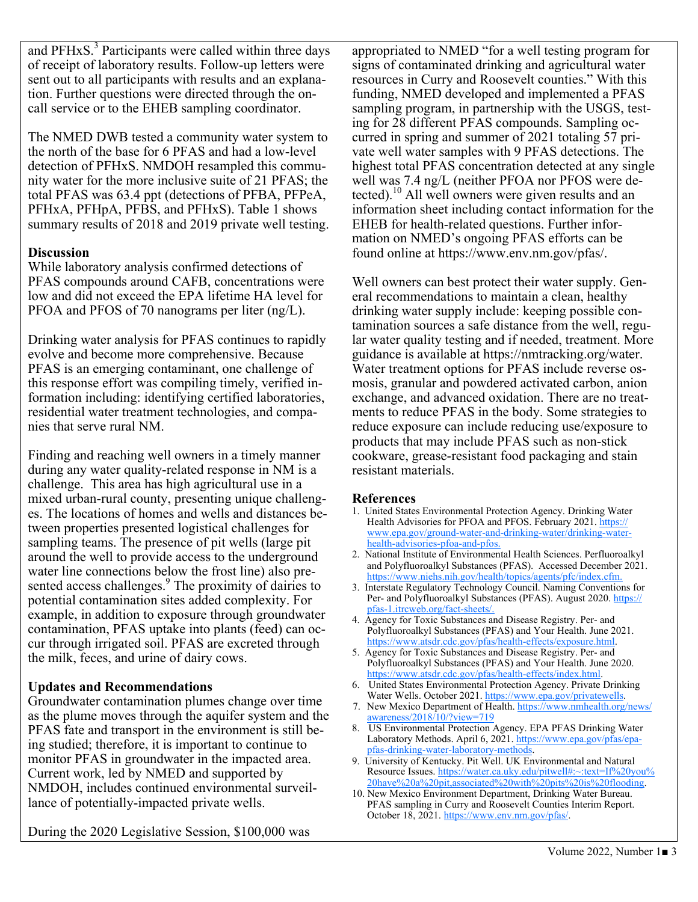and  $PFHxS.<sup>3</sup>$  Participants were called within three days of receipt of laboratory results. Follow-up letters were sent out to all participants with results and an explanation. Further questions were directed through the oncall service or to the EHEB sampling coordinator.

The NMED DWB tested a community water system to the north of the base for 6 PFAS and had a low-level detection of PFHxS. NMDOH resampled this community water for the more inclusive suite of 21 PFAS; the total PFAS was 63.4 ppt (detections of PFBA, PFPeA, PFHxA, PFHpA, PFBS, and PFHxS). Table 1 shows summary results of 2018 and 2019 private well testing.

#### **Discussion**

While laboratory analysis confirmed detections of PFAS compounds around CAFB, concentrations were low and did not exceed the EPA lifetime HA level for PFOA and PFOS of 70 nanograms per liter (ng/L).

Drinking water analysis for PFAS continues to rapidly evolve and become more comprehensive. Because PFAS is an emerging contaminant, one challenge of this response effort was compiling timely, verified information including: identifying certified laboratories, residential water treatment technologies, and companies that serve rural NM.

Finding and reaching well owners in a timely manner during any water quality-related response in NM is a challenge. This area has high agricultural use in a mixed urban-rural county, presenting unique challenges. The locations of homes and wells and distances between properties presented logistical challenges for sampling teams. The presence of pit wells (large pit around the well to provide access to the underground water line connections below the frost line) also presented access challenges.<sup>9</sup> The proximity of dairies to potential contamination sites added complexity. For example, in addition to exposure through groundwater contamination, PFAS uptake into plants (feed) can occur through irrigated soil. PFAS are excreted through the milk, feces, and urine of dairy cows.

# **Updates and Recommendations**

Groundwater contamination plumes change over time as the plume moves through the aquifer system and the PFAS fate and transport in the environment is still being studied; therefore, it is important to continue to monitor PFAS in groundwater in the impacted area. Current work, led by NMED and supported by NMDOH, includes continued environmental surveillance of potentially-impacted private wells.

During the 2020 Legislative Session, \$100,000 was

appropriated to NMED "for a well testing program for signs of contaminated drinking and agricultural water resources in Curry and Roosevelt counties." With this funding, NMED developed and implemented a PFAS sampling program, in partnership with the USGS, testing for 28 different PFAS compounds. Sampling occurred in spring and summer of 2021 totaling 57 private well water samples with 9 PFAS detections. The highest total PFAS concentration detected at any single well was 7.4 ng/L (neither PFOA nor PFOS were detected).<sup>10</sup> All well owners were given results and an information sheet including contact information for the EHEB for health-related questions. Further information on NMED's ongoing PFAS efforts can be found online at https://www.env.nm.gov/pfas/.

Well owners can best protect their water supply. General recommendations to maintain a clean, healthy drinking water supply include: keeping possible contamination sources a safe distance from the well, regular water quality testing and if needed, treatment. More guidance is available at https://nmtracking.org/water. Water treatment options for PFAS include reverse osmosis, granular and powdered activated carbon, anion exchange, and advanced oxidation. There are no treatments to reduce PFAS in the body. Some strategies to reduce exposure can include reducing use/exposure to products that may include PFAS such as non-stick cookware, grease-resistant food packaging and stain resistant materials.

#### **References**

- 1. United States Environmental Protection Agency. Drinking Water Health Advisories for PFOA and PFOS. February 2021. https:// www.epa.gov/ground-water-and-drinking-water/drinking-waterhealth-advisories-pfoa-and-pfos.
- 2. National Institute of Environmental Health Sciences. Perfluoroalkyl and Polyfluoroalkyl Substances (PFAS). Accessed December 2021. https://www.niehs.nih.gov/health/topics/agents/pfc/index.cfm.
- 3. Interstate Regulatory Technology Council. Naming Conventions for Per- and Polyfluoroalkyl Substances (PFAS). August 2020. https:// pfas-1.itrcweb.org/fact-sheets/.
- 4. Agency for Toxic Substances and Disease Registry. Per- and Polyfluoroalkyl Substances (PFAS) and Your Health. June 2021. https://www.atsdr.cdc.gov/pfas/health-effects/exposure.html.
- 5. Agency for Toxic Substances and Disease Registry. Per- and Polyfluoroalkyl Substances (PFAS) and Your Health. June 2020. https://www.atsdr.cdc.gov/pfas/health-effects/index.html.
- 6. United States Environmental Protection Agency. Private Drinking Water Wells. October 2021. https://www.epa.gov/privatewells.
- 7. New Mexico Department of Health. https://www.nmhealth.org/news/ awareness/2018/10/?view=719
- 8. US Environmental Protection Agency. EPA PFAS Drinking Water Laboratory Methods. April 6, 2021. https://www.epa.gov/pfas/epapfas-drinking-water-laboratory-methods.
- 9. University of Kentucky. Pit Well. UK Environmental and Natural Resource Issues. https://water.ca.uky.edu/pitwell#:~:text=If%20you% 20have%20a%20pit,associated%20with%20pits%20is%20flooding.
- 10. New Mexico Environment Department, Drinking Water Bureau. PFAS sampling in Curry and Roosevelt Counties Interim Report. October 18, 2021. https://www.env.nm.gov/pfas/.